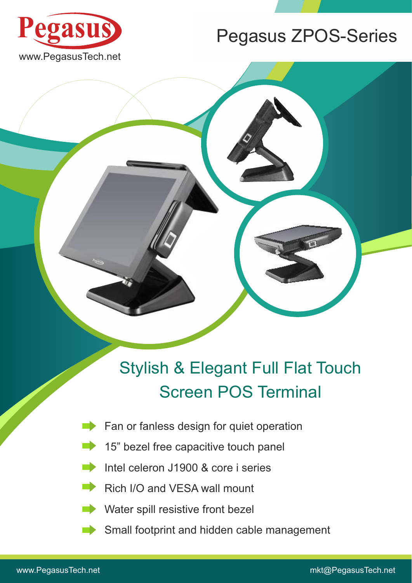

**Pegasus**

## Pegasus ZPOS-Series

## Stylish & Elegant Full Flat Touch Screen POS Terminal

- **Fan or fanless design for quiet operation**
- 15" bezel free capacitive touch panel
- Intel celeron J1900 & core i series  $\Box$
- Rich I/O and VESA wall mount  $\blacksquare$ 
	- Water spill resistive front bezel
	- Small footprint and hidden cable management